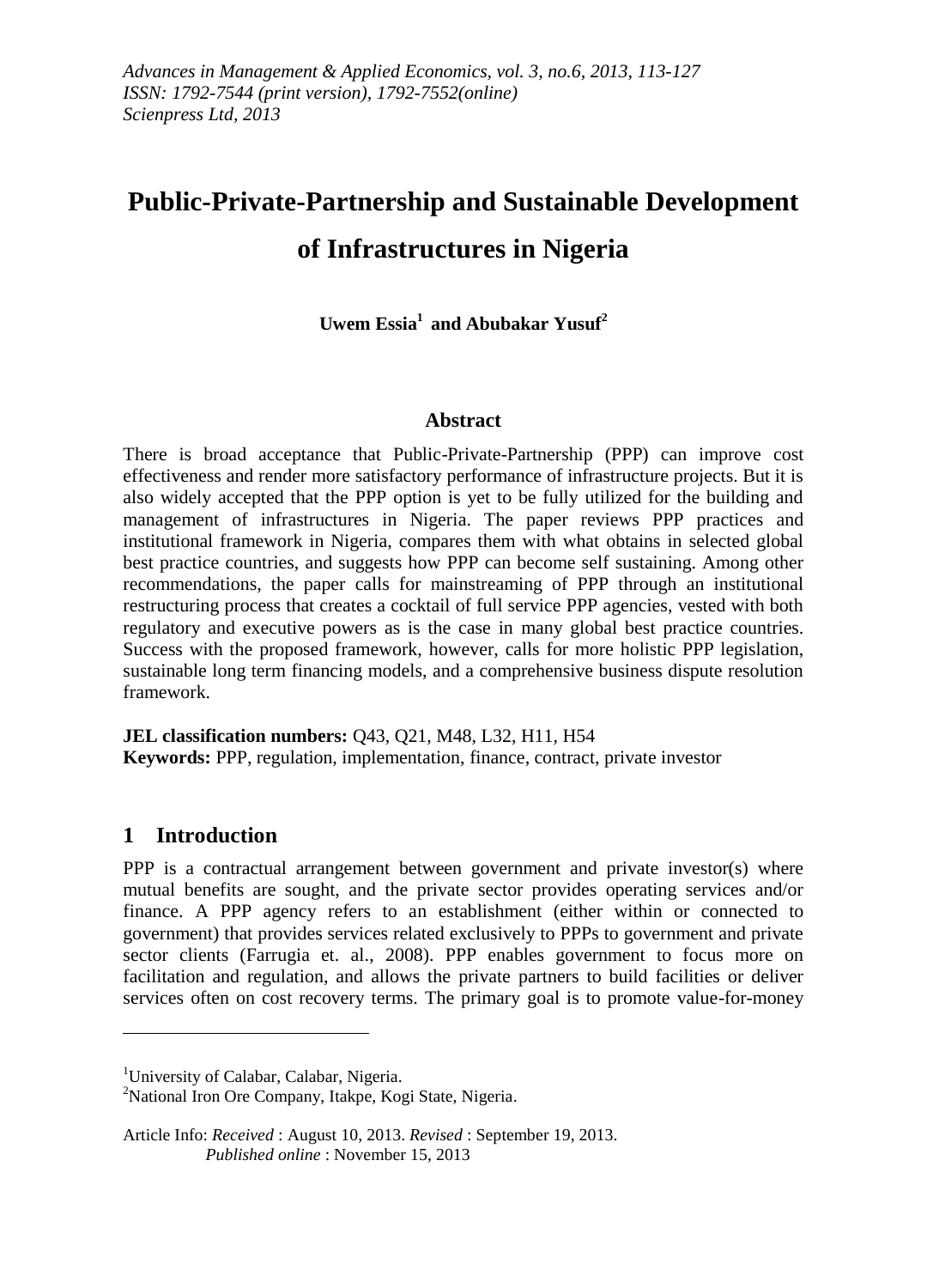# **Public-Private-Partnership and Sustainable Development of Infrastructures in Nigeria**

**Uwem Essia<sup>1</sup> and Abubakar Yusuf<sup>2</sup>**

#### **Abstract**

There is broad acceptance that Public-Private-Partnership (PPP) can improve cost effectiveness and render more satisfactory performance of infrastructure projects. But it is also widely accepted that the PPP option is yet to be fully utilized for the building and management of infrastructures in Nigeria. The paper reviews PPP practices and institutional framework in Nigeria, compares them with what obtains in selected global best practice countries, and suggests how PPP can become self sustaining. Among other recommendations, the paper calls for mainstreaming of PPP through an institutional restructuring process that creates a cocktail of full service PPP agencies, vested with both regulatory and executive powers as is the case in many global best practice countries. Success with the proposed framework, however, calls for more holistic PPP legislation, sustainable long term financing models, and a comprehensive business dispute resolution framework.

**JEL classification numbers:** Q43, Q21, M48, L32, H11, H54 **Keywords:** PPP, regulation, implementation, finance, contract, private investor

# **1 Introduction**

1

PPP is a contractual arrangement between government and private investor(s) where mutual benefits are sought, and the private sector provides operating services and/or finance. A PPP agency refers to an establishment (either within or connected to government) that provides services related exclusively to PPPs to government and private sector clients (Farrugia et. al., 2008). PPP enables government to focus more on facilitation and regulation, and allows the private partners to build facilities or deliver services often on cost recovery terms. The primary goal is to promote value-for-money

<sup>2</sup>National Iron Ore Company, Itakpe, Kogi State, Nigeria.

<sup>&</sup>lt;sup>1</sup>University of Calabar, Calabar, Nigeria.

Article Info: *Received* : August 10, 2013. *Revised* : September 19, 2013. *Published online* : November 15, 2013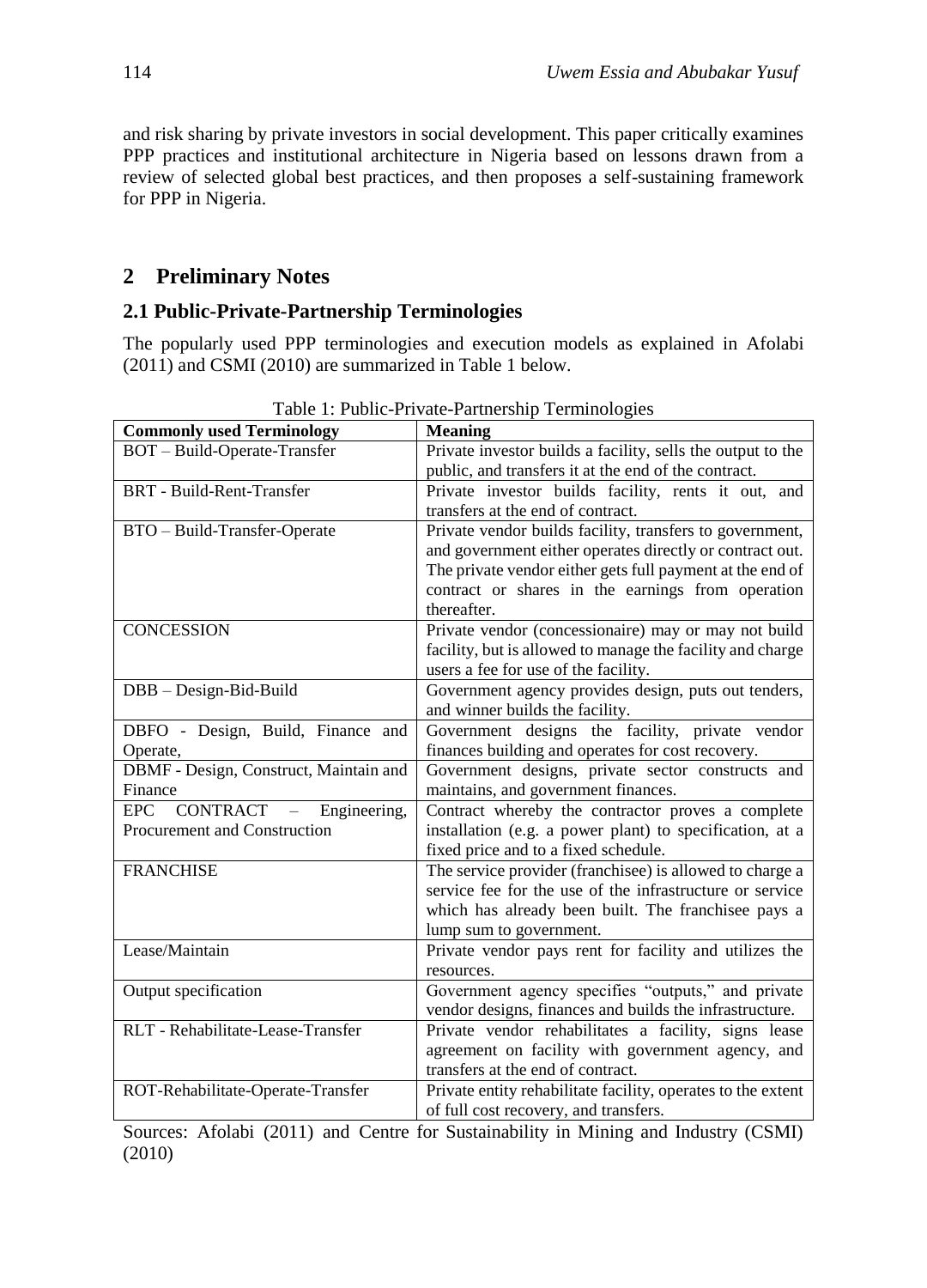and risk sharing by private investors in social development. This paper critically examines PPP practices and institutional architecture in Nigeria based on lessons drawn from a review of selected global best practices, and then proposes a self-sustaining framework for PPP in Nigeria.

# **2 Preliminary Notes**

# **2.1 Public-Private-Partnership Terminologies**

The popularly used PPP terminologies and execution models as explained in Afolabi (2011) and CSMI (2010) are summarized in Table 1 below.

| <b>Commonly used Terminology</b>                                   | <b>Meaning</b>                                               |
|--------------------------------------------------------------------|--------------------------------------------------------------|
| BOT - Build-Operate-Transfer                                       | Private investor builds a facility, sells the output to the  |
|                                                                    | public, and transfers it at the end of the contract.         |
| <b>BRT</b> - Build-Rent-Transfer                                   | Private investor builds facility, rents it out, and          |
|                                                                    | transfers at the end of contract.                            |
| BTO - Build-Transfer-Operate                                       | Private vendor builds facility, transfers to government,     |
|                                                                    | and government either operates directly or contract out.     |
|                                                                    | The private vendor either gets full payment at the end of    |
|                                                                    | contract or shares in the earnings from operation            |
|                                                                    | thereafter.                                                  |
| <b>CONCESSION</b>                                                  | Private vendor (concessionaire) may or may not build         |
|                                                                    | facility, but is allowed to manage the facility and charge   |
|                                                                    | users a fee for use of the facility.                         |
| DBB - Design-Bid-Build                                             | Government agency provides design, puts out tenders,         |
|                                                                    | and winner builds the facility.                              |
| DBFO - Design, Build, Finance and                                  | Government designs the facility, private vendor              |
| Operate,                                                           | finances building and operates for cost recovery.            |
| DBMF - Design, Construct, Maintain and                             | Government designs, private sector constructs and            |
| Finance                                                            | maintains, and government finances.                          |
| <b>EPC</b><br>CONTRACT<br>Engineering,<br>$\overline{\phantom{m}}$ | Contract whereby the contractor proves a complete            |
| Procurement and Construction                                       | installation (e.g. a power plant) to specification, at a     |
|                                                                    | fixed price and to a fixed schedule.                         |
| <b>FRANCHISE</b>                                                   | The service provider (franchisee) is allowed to charge a     |
|                                                                    | service fee for the use of the infrastructure or service     |
|                                                                    | which has already been built. The franchisee pays a          |
|                                                                    | lump sum to government.                                      |
| Lease/Maintain                                                     | Private vendor pays rent for facility and utilizes the       |
|                                                                    | resources.                                                   |
| Output specification                                               | Government agency specifies "outputs," and private           |
|                                                                    | vendor designs, finances and builds the infrastructure.      |
| RLT - Rehabilitate-Lease-Transfer                                  | Private vendor rehabilitates a facility, signs lease         |
|                                                                    | agreement on facility with government agency, and            |
|                                                                    | transfers at the end of contract.                            |
| ROT-Rehabilitate-Operate-Transfer                                  | Private entity rehabilitate facility, operates to the extent |
|                                                                    | of full cost recovery, and transfers.                        |

Table 1: Public-Private-Partnership Terminologies

Sources: Afolabi (2011) and Centre for Sustainability in Mining and Industry (CSMI) (2010)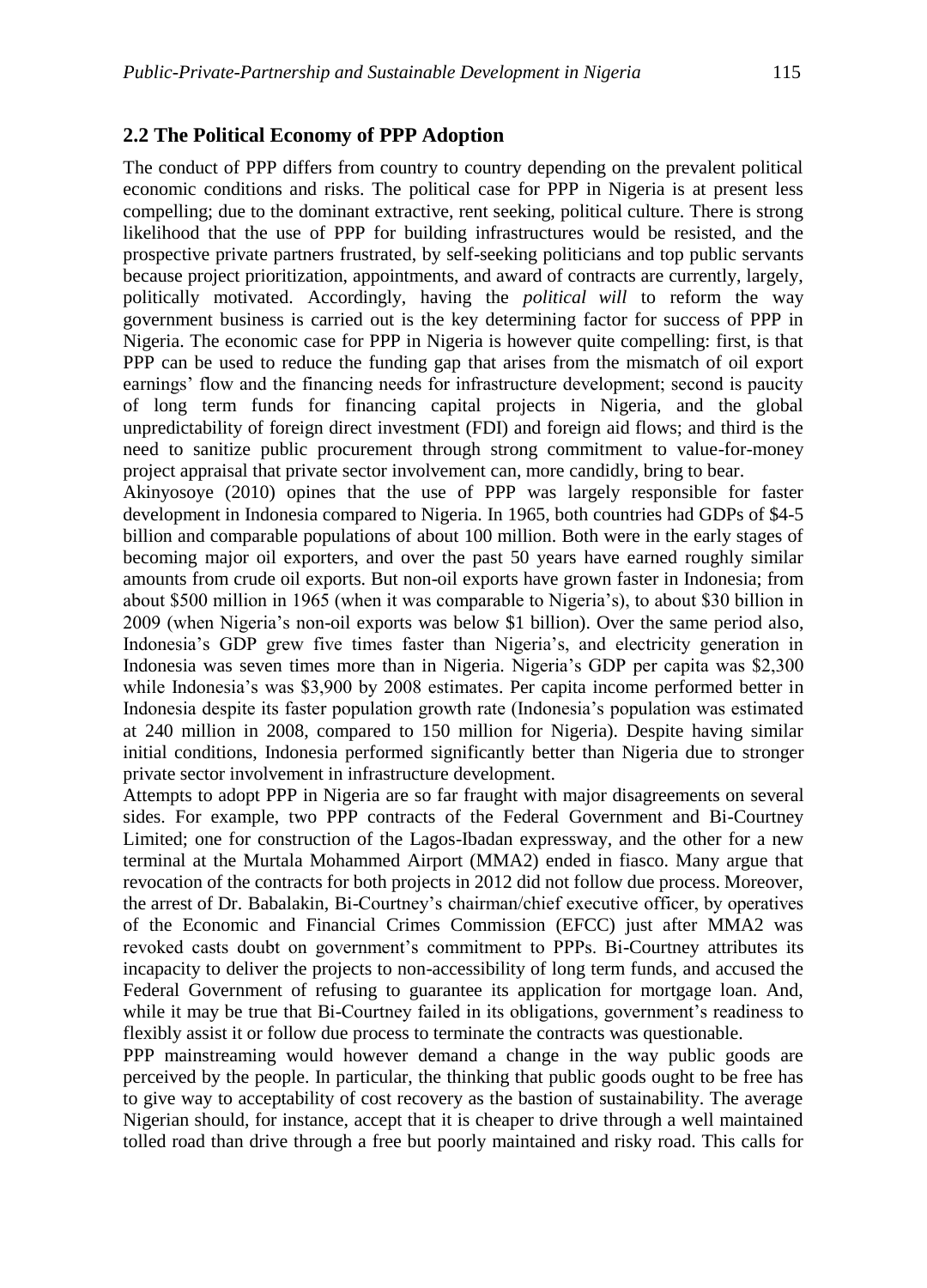#### **2.2 The Political Economy of PPP Adoption**

The conduct of PPP differs from country to country depending on the prevalent political economic conditions and risks. The political case for PPP in Nigeria is at present less compelling; due to the dominant extractive, rent seeking, political culture. There is strong likelihood that the use of PPP for building infrastructures would be resisted, and the prospective private partners frustrated, by self-seeking politicians and top public servants because project prioritization, appointments, and award of contracts are currently, largely, politically motivated. Accordingly, having the *political will* to reform the way government business is carried out is the key determining factor for success of PPP in Nigeria. The economic case for PPP in Nigeria is however quite compelling: first, is that PPP can be used to reduce the funding gap that arises from the mismatch of oil export earnings' flow and the financing needs for infrastructure development; second is paucity of long term funds for financing capital projects in Nigeria, and the global unpredictability of foreign direct investment (FDI) and foreign aid flows; and third is the need to sanitize public procurement through strong commitment to value-for-money project appraisal that private sector involvement can, more candidly, bring to bear.

Akinyosoye (2010) opines that the use of PPP was largely responsible for faster development in Indonesia compared to Nigeria. In 1965, both countries had GDPs of \$4-5 billion and comparable populations of about 100 million. Both were in the early stages of becoming major oil exporters, and over the past 50 years have earned roughly similar amounts from crude oil exports. But non-oil exports have grown faster in Indonesia; from about \$500 million in 1965 (when it was comparable to Nigeria's), to about \$30 billion in 2009 (when Nigeria's non-oil exports was below \$1 billion). Over the same period also, Indonesia's GDP grew five times faster than Nigeria's, and electricity generation in Indonesia was seven times more than in Nigeria. Nigeria's GDP per capita was \$2,300 while Indonesia's was \$3,900 by 2008 estimates. Per capita income performed better in Indonesia despite its faster population growth rate (Indonesia's population was estimated at 240 million in 2008, compared to 150 million for Nigeria). Despite having similar initial conditions, Indonesia performed significantly better than Nigeria due to stronger private sector involvement in infrastructure development.

Attempts to adopt PPP in Nigeria are so far fraught with major disagreements on several sides. For example, two PPP contracts of the Federal Government and Bi-Courtney Limited; one for construction of the Lagos-Ibadan expressway, and the other for a new terminal at the Murtala Mohammed Airport (MMA2) ended in fiasco. Many argue that revocation of the contracts for both projects in 2012 did not follow due process. Moreover, the arrest of Dr. Babalakin, Bi-Courtney's chairman/chief executive officer, by operatives of the Economic and Financial Crimes Commission (EFCC) just after MMA2 was revoked casts doubt on government's commitment to PPPs. Bi-Courtney attributes its incapacity to deliver the projects to non-accessibility of long term funds, and accused the Federal Government of refusing to guarantee its application for mortgage loan. And, while it may be true that Bi-Courtney failed in its obligations, government's readiness to flexibly assist it or follow due process to terminate the contracts was questionable.

PPP mainstreaming would however demand a change in the way public goods are perceived by the people. In particular, the thinking that public goods ought to be free has to give way to acceptability of cost recovery as the bastion of sustainability. The average Nigerian should, for instance, accept that it is cheaper to drive through a well maintained tolled road than drive through a free but poorly maintained and risky road. This calls for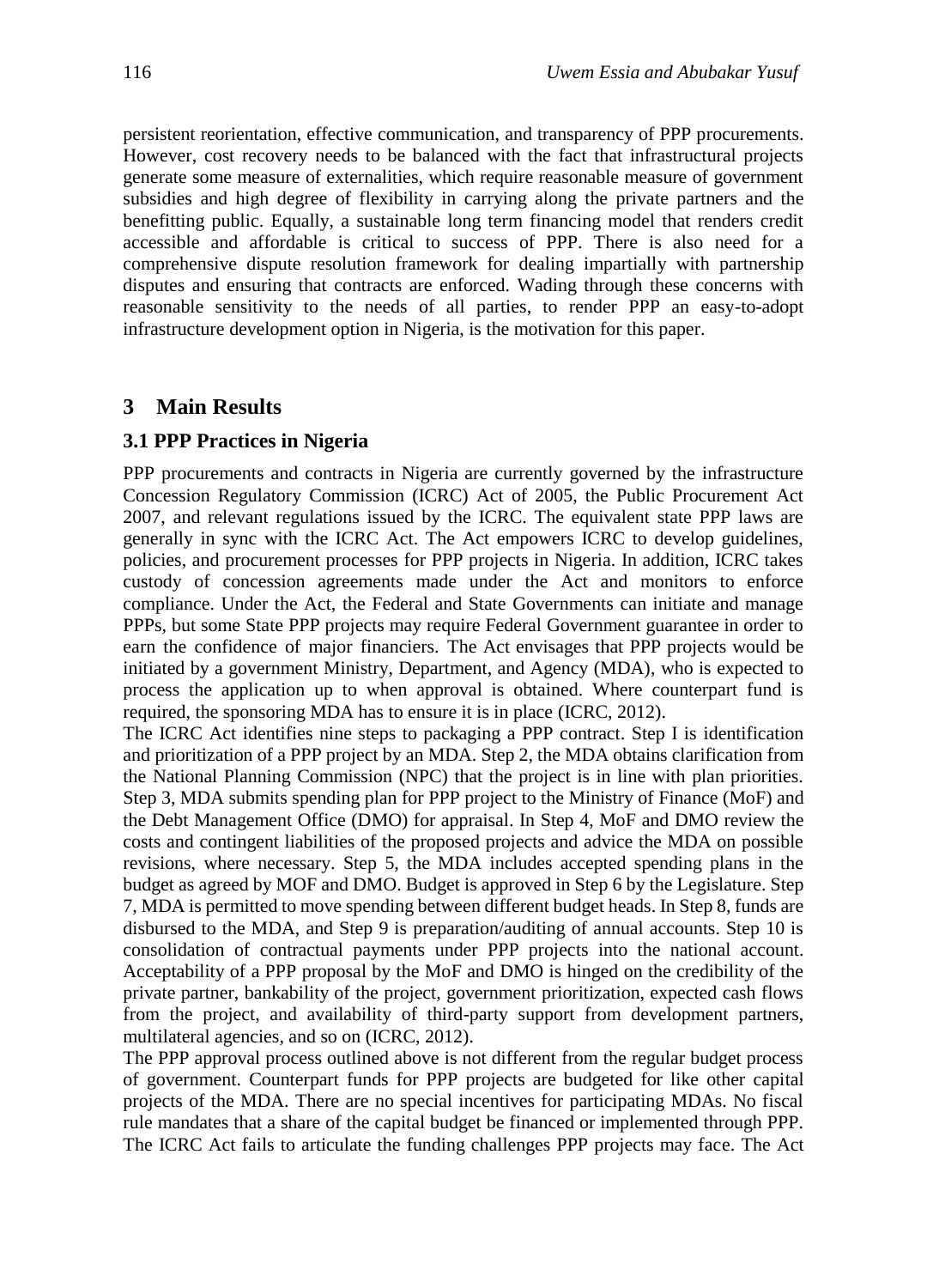persistent reorientation, effective communication, and transparency of PPP procurements. However, cost recovery needs to be balanced with the fact that infrastructural projects generate some measure of externalities, which require reasonable measure of government subsidies and high degree of flexibility in carrying along the private partners and the benefitting public. Equally, a sustainable long term financing model that renders credit accessible and affordable is critical to success of PPP. There is also need for a comprehensive dispute resolution framework for dealing impartially with partnership disputes and ensuring that contracts are enforced. Wading through these concerns with reasonable sensitivity to the needs of all parties, to render PPP an easy-to-adopt infrastructure development option in Nigeria, is the motivation for this paper.

#### **3 Main Results**

#### **3.1 PPP Practices in Nigeria**

PPP procurements and contracts in Nigeria are currently governed by the infrastructure Concession Regulatory Commission (ICRC) Act of 2005, the Public Procurement Act 2007, and relevant regulations issued by the ICRC. The equivalent state PPP laws are generally in sync with the ICRC Act. The Act empowers ICRC to develop guidelines, policies, and procurement processes for PPP projects in Nigeria. In addition, ICRC takes custody of concession agreements made under the Act and monitors to enforce compliance. Under the Act, the Federal and State Governments can initiate and manage PPPs, but some State PPP projects may require Federal Government guarantee in order to earn the confidence of major financiers. The Act envisages that PPP projects would be initiated by a government Ministry, Department, and Agency (MDA), who is expected to process the application up to when approval is obtained. Where counterpart fund is required, the sponsoring MDA has to ensure it is in place (ICRC, 2012).

The ICRC Act identifies nine steps to packaging a PPP contract. Step I is identification and prioritization of a PPP project by an MDA. Step 2, the MDA obtains clarification from the National Planning Commission (NPC) that the project is in line with plan priorities. Step 3, MDA submits spending plan for PPP project to the Ministry of Finance (MoF) and the Debt Management Office (DMO) for appraisal. In Step 4, MoF and DMO review the costs and contingent liabilities of the proposed projects and advice the MDA on possible revisions, where necessary. Step 5, the MDA includes accepted spending plans in the budget as agreed by MOF and DMO. Budget is approved in Step 6 by the Legislature. Step 7, MDA is permitted to move spending between different budget heads. In Step 8, funds are disbursed to the MDA, and Step 9 is preparation/auditing of annual accounts. Step 10 is consolidation of contractual payments under PPP projects into the national account. Acceptability of a PPP proposal by the MoF and DMO is hinged on the credibility of the private partner, bankability of the project, government prioritization, expected cash flows from the project, and availability of third-party support from development partners, multilateral agencies, and so on (ICRC, 2012).

The PPP approval process outlined above is not different from the regular budget process of government. Counterpart funds for PPP projects are budgeted for like other capital projects of the MDA. There are no special incentives for participating MDAs. No fiscal rule mandates that a share of the capital budget be financed or implemented through PPP. The ICRC Act fails to articulate the funding challenges PPP projects may face. The Act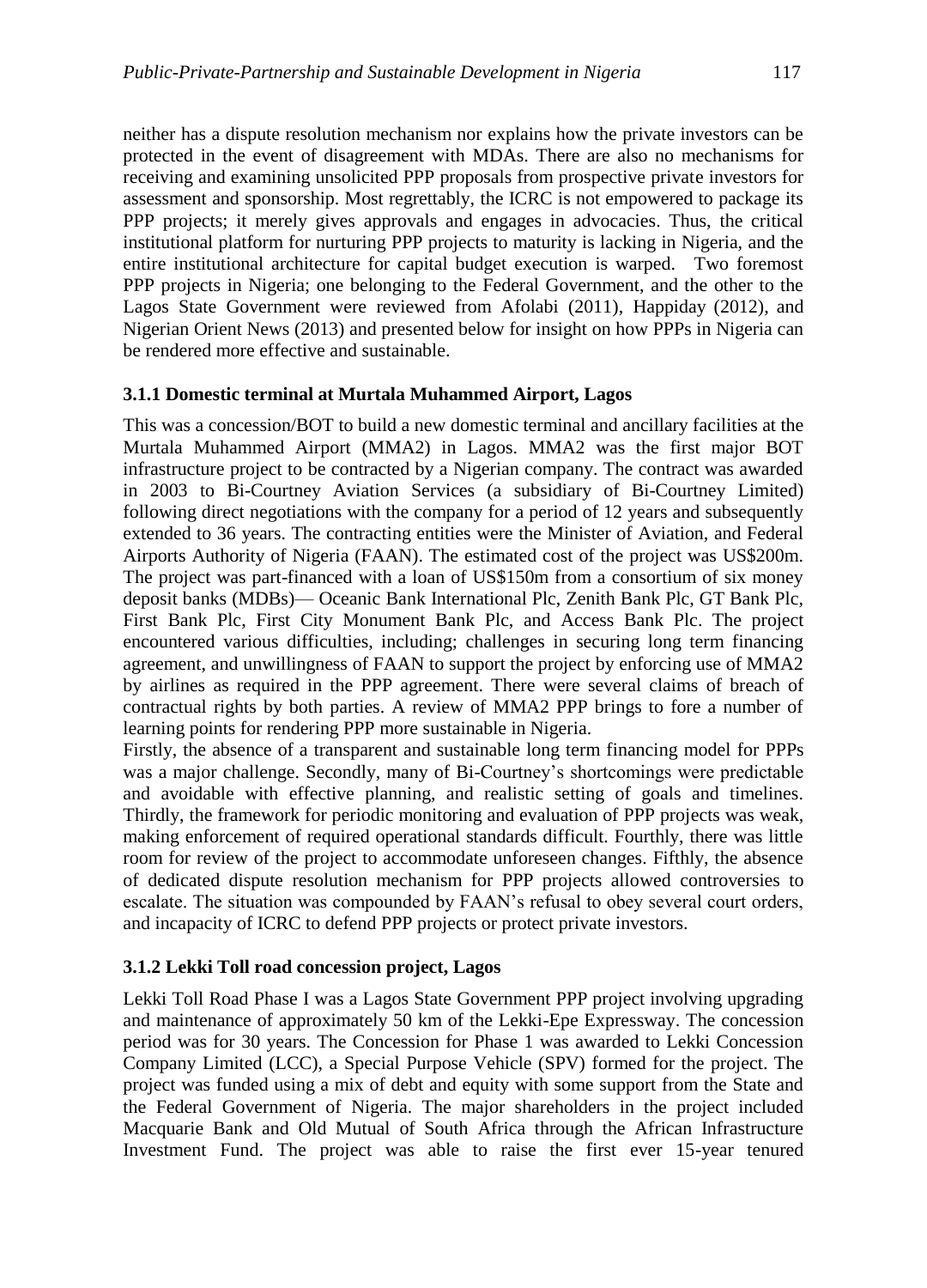neither has a dispute resolution mechanism nor explains how the private investors can be protected in the event of disagreement with MDAs. There are also no mechanisms for receiving and examining unsolicited PPP proposals from prospective private investors for assessment and sponsorship. Most regrettably, the ICRC is not empowered to package its PPP projects; it merely gives approvals and engages in advocacies. Thus, the critical institutional platform for nurturing PPP projects to maturity is lacking in Nigeria, and the entire institutional architecture for capital budget execution is warped. Two foremost PPP projects in Nigeria; one belonging to the Federal Government, and the other to the Lagos State Government were reviewed from Afolabi (2011), Happiday (2012), and Nigerian Orient News (2013) and presented below for insight on how PPPs in Nigeria can be rendered more effective and sustainable.

#### **3.1.1 Domestic terminal at Murtala Muhammed Airport, Lagos**

This was a concession/BOT to build a new domestic terminal and ancillary facilities at the Murtala Muhammed Airport (MMA2) in Lagos. MMA2 was the first major BOT infrastructure project to be contracted by a Nigerian company. The contract was awarded in 2003 to Bi-Courtney Aviation Services (a subsidiary of Bi-Courtney Limited) following direct negotiations with the company for a period of 12 years and subsequently extended to 36 years. The contracting entities were the Minister of Aviation, and Federal Airports Authority of Nigeria (FAAN). The estimated cost of the project was US\$200m. The project was part-financed with a loan of US\$150m from a consortium of six money deposit banks (MDBs)— Oceanic Bank International Plc, Zenith Bank Plc, GT Bank Plc, First Bank Plc, First City Monument Bank Plc, and Access Bank Plc. The project encountered various difficulties, including; challenges in securing long term financing agreement, and unwillingness of FAAN to support the project by enforcing use of MMA2 by airlines as required in the PPP agreement. There were several claims of breach of contractual rights by both parties. A review of MMA2 PPP brings to fore a number of learning points for rendering PPP more sustainable in Nigeria.

Firstly, the absence of a transparent and sustainable long term financing model for PPPs was a major challenge. Secondly, many of Bi-Courtney's shortcomings were predictable and avoidable with effective planning, and realistic setting of goals and timelines. Thirdly, the framework for periodic monitoring and evaluation of PPP projects was weak, making enforcement of required operational standards difficult. Fourthly, there was little room for review of the project to accommodate unforeseen changes. Fifthly, the absence of dedicated dispute resolution mechanism for PPP projects allowed controversies to escalate. The situation was compounded by FAAN's refusal to obey several court orders, and incapacity of ICRC to defend PPP projects or protect private investors.

#### **3.1.2 Lekki Toll road concession project, Lagos**

Lekki Toll Road Phase I was a Lagos State Government PPP project involving upgrading and maintenance of approximately 50 km of the Lekki-Epe Expressway. The concession period was for 30 years. The Concession for Phase 1 was awarded to Lekki Concession Company Limited (LCC), a Special Purpose Vehicle (SPV) formed for the project. The project was funded using a mix of debt and equity with some support from the State and the Federal Government of Nigeria. The major shareholders in the project included Macquarie Bank and Old Mutual of South Africa through the African Infrastructure Investment Fund. The project was able to raise the first ever 15-year tenured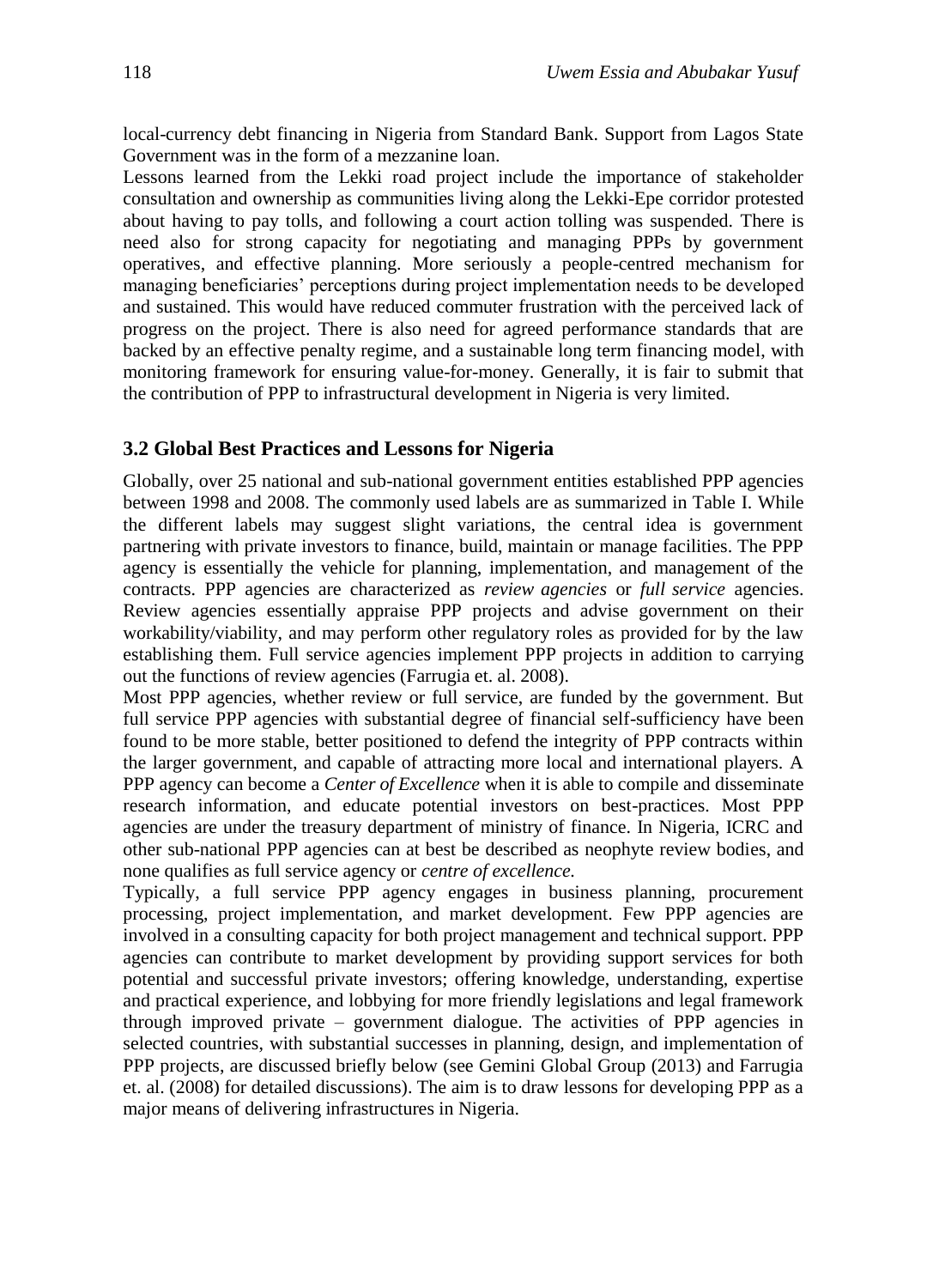local-currency debt financing in Nigeria from Standard Bank. Support from Lagos State Government was in the form of a mezzanine loan.

Lessons learned from the Lekki road project include the importance of stakeholder consultation and ownership as communities living along the Lekki-Epe corridor protested about having to pay tolls, and following a court action tolling was suspended. There is need also for strong capacity for negotiating and managing PPPs by government operatives, and effective planning. More seriously a people-centred mechanism for managing beneficiaries' perceptions during project implementation needs to be developed and sustained. This would have reduced commuter frustration with the perceived lack of progress on the project. There is also need for agreed performance standards that are backed by an effective penalty regime, and a sustainable long term financing model, with monitoring framework for ensuring value-for-money. Generally, it is fair to submit that the contribution of PPP to infrastructural development in Nigeria is very limited.

#### **3.2 Global Best Practices and Lessons for Nigeria**

Globally, over 25 national and sub-national government entities established PPP agencies between 1998 and 2008. The commonly used labels are as summarized in Table I. While the different labels may suggest slight variations, the central idea is government partnering with private investors to finance, build, maintain or manage facilities. The PPP agency is essentially the vehicle for planning, implementation, and management of the contracts. PPP agencies are characterized as *review agencies* or *full service* agencies. Review agencies essentially appraise PPP projects and advise government on their workability/viability, and may perform other regulatory roles as provided for by the law establishing them. Full service agencies implement PPP projects in addition to carrying out the functions of review agencies (Farrugia et. al. 2008).

Most PPP agencies, whether review or full service, are funded by the government. But full service PPP agencies with substantial degree of financial self-sufficiency have been found to be more stable, better positioned to defend the integrity of PPP contracts within the larger government, and capable of attracting more local and international players. A PPP agency can become a *Center of Excellence* when it is able to compile and disseminate research information, and educate potential investors on best-practices. Most PPP agencies are under the treasury department of ministry of finance. In Nigeria, ICRC and other sub-national PPP agencies can at best be described as neophyte review bodies, and none qualifies as full service agency or *centre of excellence.*

Typically, a full service PPP agency engages in business planning, procurement processing, project implementation, and market development. Few PPP agencies are involved in a consulting capacity for both project management and technical support. PPP agencies can contribute to market development by providing support services for both potential and successful private investors; offering knowledge, understanding, expertise and practical experience, and lobbying for more friendly legislations and legal framework through improved private – government dialogue. The activities of PPP agencies in selected countries, with substantial successes in planning, design, and implementation of PPP projects, are discussed briefly below (see Gemini Global Group (2013) and Farrugia et. al. (2008) for detailed discussions). The aim is to draw lessons for developing PPP as a major means of delivering infrastructures in Nigeria.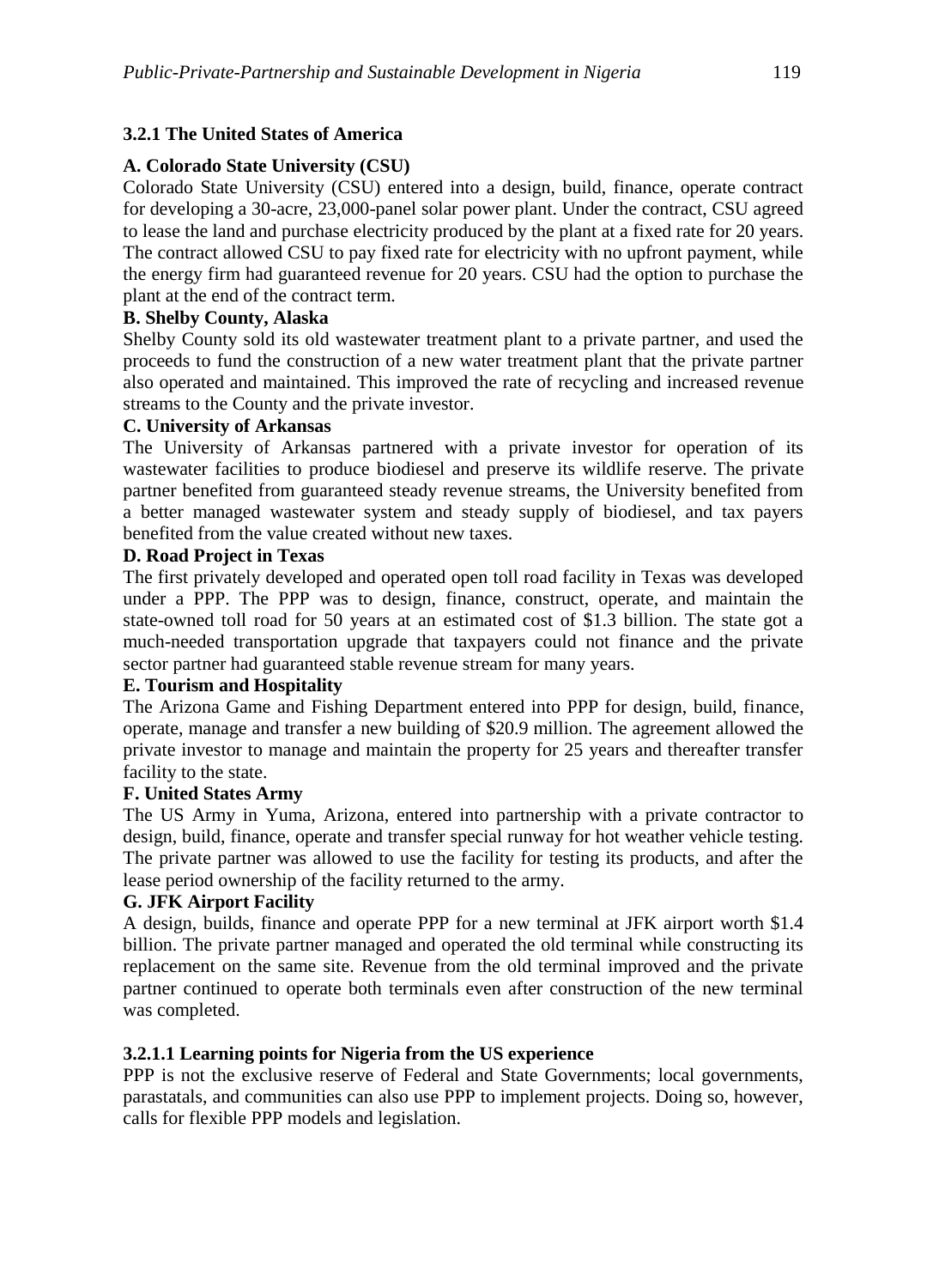## **3.2.1 The United States of America**

## **A. Colorado State University (CSU)**

Colorado State University (CSU) entered into a design, build, finance, operate contract for developing a 30-acre, 23,000-panel solar power plant. Under the contract, CSU agreed to lease the land and purchase electricity produced by the plant at a fixed rate for 20 years. The contract allowed CSU to pay fixed rate for electricity with no upfront payment, while the energy firm had guaranteed revenue for 20 years. CSU had the option to purchase the plant at the end of the contract term.

## **B. Shelby County, Alaska**

Shelby County sold its old wastewater treatment plant to a private partner, and used the proceeds to fund the construction of a new water treatment plant that the private partner also operated and maintained. This improved the rate of recycling and increased revenue streams to the County and the private investor.

#### **C. University of Arkansas**

The University of Arkansas partnered with a private investor for operation of its wastewater facilities to produce biodiesel and preserve its wildlife reserve. The private partner benefited from guaranteed steady revenue streams, the University benefited from a better managed wastewater system and steady supply of biodiesel, and tax payers benefited from the value created without new taxes.

#### **D. Road Project in Texas**

The first privately developed and operated open toll road facility in Texas was developed under a PPP. The PPP was to design, finance, construct, operate, and maintain the state-owned toll road for 50 years at an estimated cost of \$1.3 billion. The state got a much-needed transportation upgrade that taxpayers could not finance and the private sector partner had guaranteed stable revenue stream for many years.

#### **E. Tourism and Hospitality**

The Arizona Game and Fishing Department entered into PPP for design, build, finance, operate, manage and transfer a new building of \$20.9 million. The agreement allowed the private investor to manage and maintain the property for 25 years and thereafter transfer facility to the state.

#### **F. United States Army**

The US Army in Yuma, Arizona, entered into partnership with a private contractor to design, build, finance, operate and transfer special runway for hot weather vehicle testing. The private partner was allowed to use the facility for testing its products, and after the lease period ownership of the facility returned to the army.

#### **G. JFK Airport Facility**

A design, builds, finance and operate PPP for a new terminal at JFK airport worth \$1.4 billion. The private partner managed and operated the old terminal while constructing its replacement on the same site. Revenue from the old terminal improved and the private partner continued to operate both terminals even after construction of the new terminal was completed.

#### **3.2.1.1 Learning points for Nigeria from the US experience**

PPP is not the exclusive reserve of Federal and State Governments; local governments, parastatals, and communities can also use PPP to implement projects. Doing so, however, calls for flexible PPP models and legislation.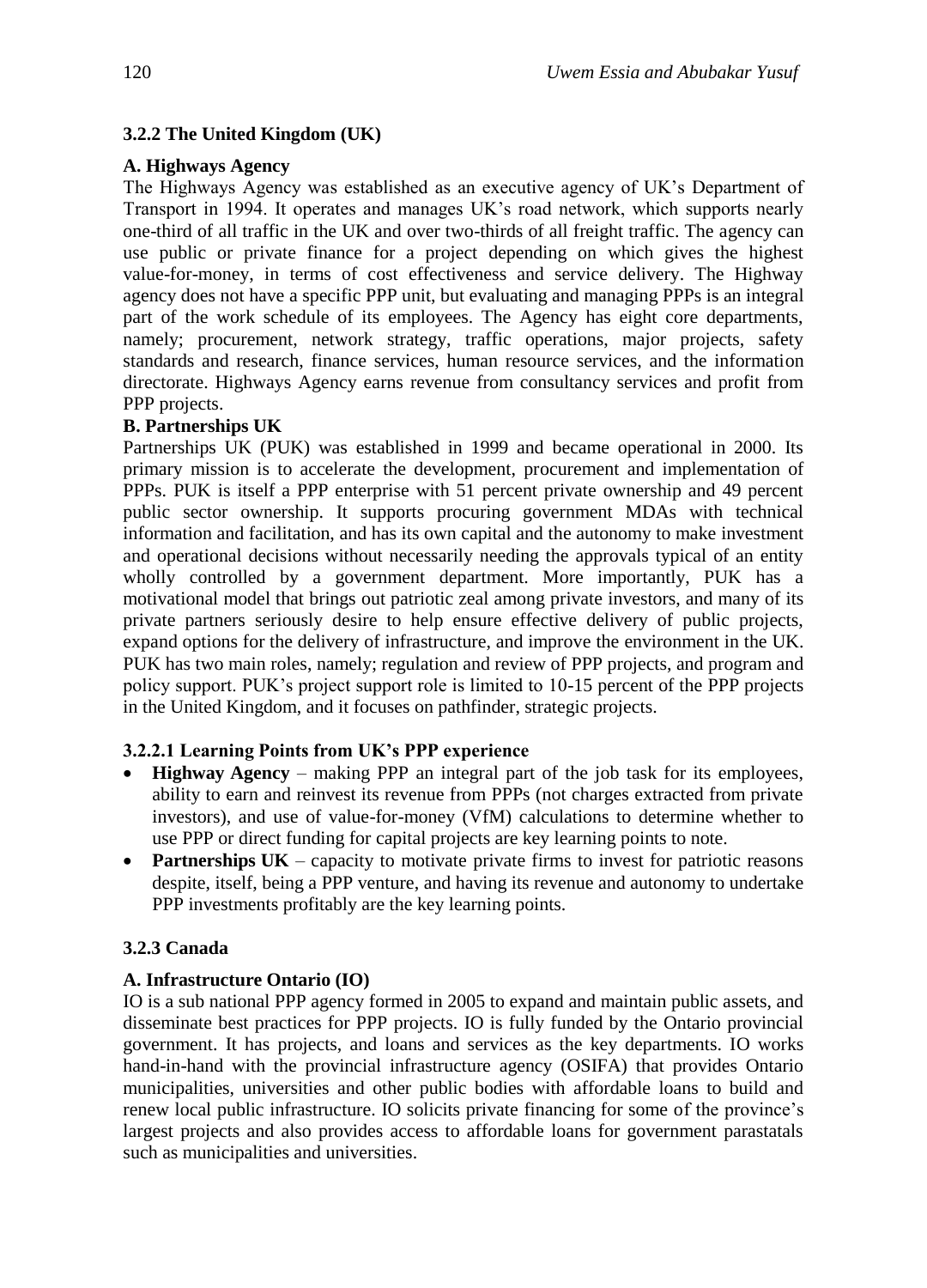#### **3.2.2 The United Kingdom (UK)**

#### **A. Highways Agency**

The Highways Agency was established as an executive agency of UK's Department of Transport in 1994. It operates and manages UK's road network, which supports nearly one-third of all traffic in the UK and over two-thirds of all freight traffic. The agency can use public or private finance for a project depending on which gives the highest value-for-money, in terms of cost effectiveness and service delivery. The Highway agency does not have a specific PPP unit, but evaluating and managing PPPs is an integral part of the work schedule of its employees. The Agency has eight core departments, namely; procurement, network strategy, traffic operations, major projects, safety standards and research, finance services, human resource services, and the information directorate. Highways Agency earns revenue from consultancy services and profit from PPP projects.

#### **B. Partnerships UK**

Partnerships UK (PUK) was established in 1999 and became operational in 2000. Its primary mission is to accelerate the development, procurement and implementation of PPPs. PUK is itself a PPP enterprise with 51 percent private ownership and 49 percent public sector ownership. It supports procuring government MDAs with technical information and facilitation, and has its own capital and the autonomy to make investment and operational decisions without necessarily needing the approvals typical of an entity wholly controlled by a government department. More importantly, PUK has a motivational model that brings out patriotic zeal among private investors, and many of its private partners seriously desire to help ensure effective delivery of public projects, expand options for the delivery of infrastructure, and improve the environment in the UK. PUK has two main roles, namely; regulation and review of PPP projects, and program and policy support. PUK's project support role is limited to 10-15 percent of the PPP projects in the United Kingdom, and it focuses on pathfinder, strategic projects.

#### **3.2.2.1 Learning Points from UK's PPP experience**

- **Highway Agency** making PPP an integral part of the job task for its employees, ability to earn and reinvest its revenue from PPPs (not charges extracted from private investors), and use of value-for-money (VfM) calculations to determine whether to use PPP or direct funding for capital projects are key learning points to note.
- **Partnerships UK** capacity to motivate private firms to invest for patriotic reasons despite, itself, being a PPP venture, and having its revenue and autonomy to undertake PPP investments profitably are the key learning points.

#### **3.2.3 Canada**

#### **A. Infrastructure Ontario (IO)**

IO is a sub national PPP agency formed in 2005 to expand and maintain public assets, and disseminate best practices for PPP projects. IO is fully funded by the Ontario provincial government. It has projects, and loans and services as the key departments. IO works hand-in-hand with the provincial infrastructure agency (OSIFA) that provides Ontario municipalities, universities and other public bodies with affordable loans to build and renew local public infrastructure. IO solicits private financing for some of the province's largest projects and also provides access to affordable loans for government parastatals such as municipalities and universities.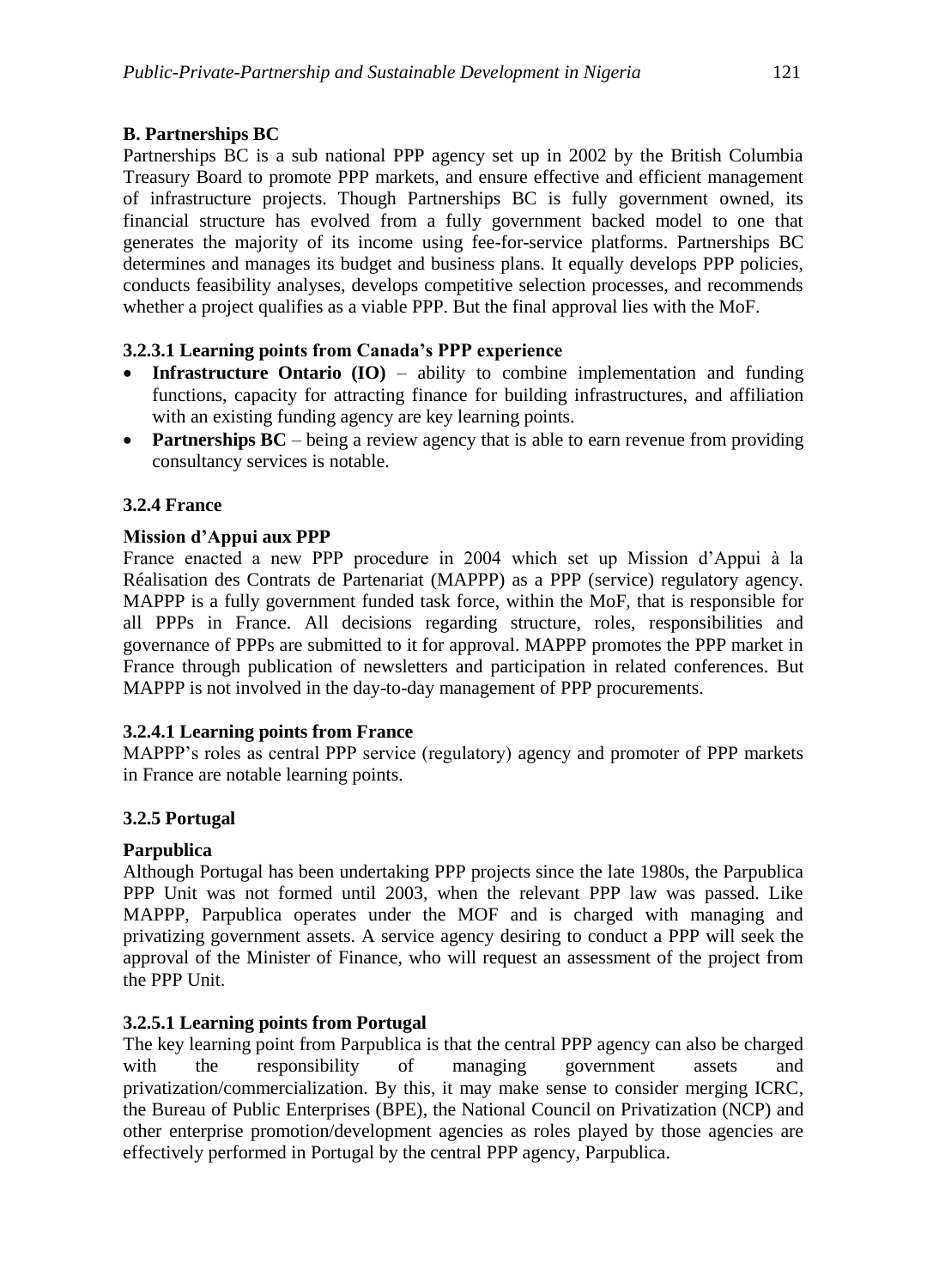## **B. Partnerships BC**

Partnerships BC is a sub national PPP agency set up in 2002 by the British Columbia Treasury Board to promote PPP markets, and ensure effective and efficient management of infrastructure projects. Though Partnerships BC is fully government owned, its financial structure has evolved from a fully government backed model to one that generates the majority of its income using fee-for-service platforms. Partnerships BC determines and manages its budget and business plans. It equally develops PPP policies, conducts feasibility analyses, develops competitive selection processes, and recommends whether a project qualifies as a viable PPP. But the final approval lies with the MoF.

#### **3.2.3.1 Learning points from Canada's PPP experience**

- **Infrastructure Ontario (IO)** ability to combine implementation and funding functions, capacity for attracting finance for building infrastructures, and affiliation with an existing funding agency are key learning points.
- **Partnerships BC** being a review agency that is able to earn revenue from providing consultancy services is notable.

#### **3.2.4 France**

#### **Mission d'Appui aux PPP**

France enacted a new PPP procedure in 2004 which set up Mission d'Appui à la Réalisation des Contrats de Partenariat (MAPPP) as a PPP (service) regulatory agency. MAPPP is a fully government funded task force, within the MoF, that is responsible for all PPPs in France. All decisions regarding structure, roles, responsibilities and governance of PPPs are submitted to it for approval. MAPPP promotes the PPP market in France through publication of newsletters and participation in related conferences. But MAPPP is not involved in the day-to-day management of PPP procurements.

#### **3.2.4.1 Learning points from France**

MAPPP's roles as central PPP service (regulatory) agency and promoter of PPP markets in France are notable learning points.

#### **3.2.5 Portugal**

#### **Parpublica**

Although Portugal has been undertaking PPP projects since the late 1980s, the Parpublica PPP Unit was not formed until 2003, when the relevant PPP law was passed. Like MAPPP, Parpublica operates under the MOF and is charged with managing and privatizing government assets. A service agency desiring to conduct a PPP will seek the approval of the Minister of Finance, who will request an assessment of the project from the PPP Unit.

#### **3.2.5.1 Learning points from Portugal**

The key learning point from Parpublica is that the central PPP agency can also be charged with the responsibility of managing government assets and privatization/commercialization. By this, it may make sense to consider merging ICRC, the Bureau of Public Enterprises (BPE), the National Council on Privatization (NCP) and other enterprise promotion/development agencies as roles played by those agencies are effectively performed in Portugal by the central PPP agency, Parpublica.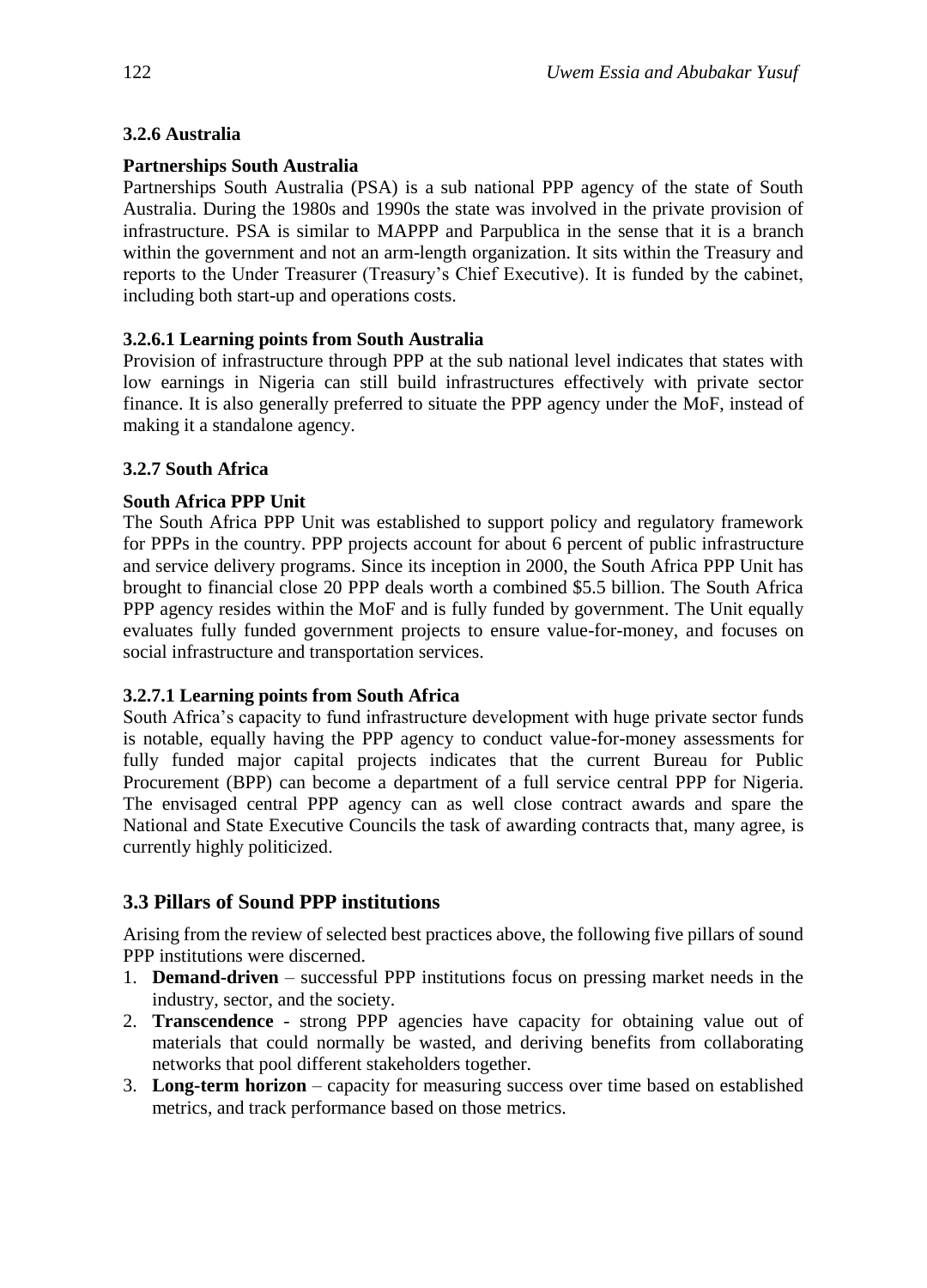## **3.2.6 Australia**

## **Partnerships South Australia**

Partnerships South Australia (PSA) is a sub national PPP agency of the state of South Australia. During the 1980s and 1990s the state was involved in the private provision of infrastructure. PSA is similar to MAPPP and Parpublica in the sense that it is a branch within the government and not an arm-length organization. It sits within the Treasury and reports to the Under Treasurer (Treasury's Chief Executive). It is funded by the cabinet, including both start-up and operations costs.

# **3.2.6.1 Learning points from South Australia**

Provision of infrastructure through PPP at the sub national level indicates that states with low earnings in Nigeria can still build infrastructures effectively with private sector finance. It is also generally preferred to situate the PPP agency under the MoF, instead of making it a standalone agency.

## **3.2.7 South Africa**

## **South Africa PPP Unit**

The South Africa PPP Unit was established to support policy and regulatory framework for PPPs in the country. PPP projects account for about 6 percent of public infrastructure and service delivery programs. Since its inception in 2000, the South Africa PPP Unit has brought to financial close 20 PPP deals worth a combined \$5.5 billion. The South Africa PPP agency resides within the MoF and is fully funded by government. The Unit equally evaluates fully funded government projects to ensure value-for-money, and focuses on social infrastructure and transportation services.

## **3.2.7.1 Learning points from South Africa**

South Africa's capacity to fund infrastructure development with huge private sector funds is notable, equally having the PPP agency to conduct value-for-money assessments for fully funded major capital projects indicates that the current Bureau for Public Procurement (BPP) can become a department of a full service central PPP for Nigeria. The envisaged central PPP agency can as well close contract awards and spare the National and State Executive Councils the task of awarding contracts that, many agree, is currently highly politicized.

# **3.3 Pillars of Sound PPP institutions**

Arising from the review of selected best practices above, the following five pillars of sound PPP institutions were discerned.

- 1. **Demand-driven** successful PPP institutions focus on pressing market needs in the industry, sector, and the society.
- 2. **Transcendence** strong PPP agencies have capacity for obtaining value out of materials that could normally be wasted, and deriving benefits from collaborating networks that pool different stakeholders together.
- 3. **Long-term horizon** capacity for measuring success over time based on established metrics, and track performance based on those metrics.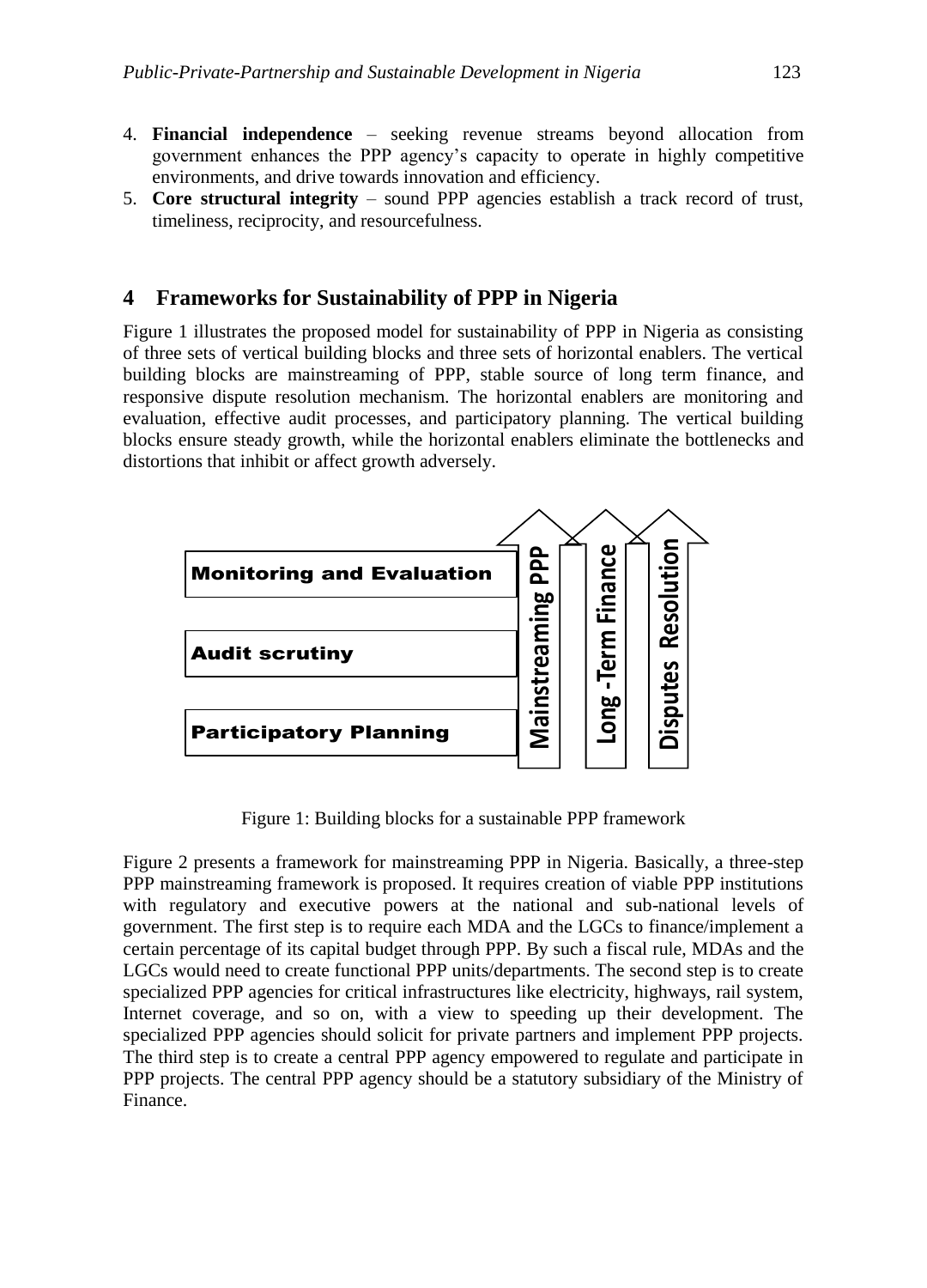5. **Core structural integrity** – sound PPP agencies establish a track record of trust, timeliness, reciprocity, and resourcefulness.

## **4 Frameworks for Sustainability of PPP in Nigeria**

Figure 1 illustrates the proposed model for sustainability of PPP in Nigeria as consisting of three sets of vertical building blocks and three sets of horizontal enablers. The vertical building blocks are mainstreaming of PPP, stable source of long term finance, and responsive dispute resolution mechanism. The horizontal enablers are monitoring and evaluation, effective audit processes, and participatory planning. The vertical building blocks ensure steady growth, while the horizontal enablers eliminate the bottlenecks and distortions that inhibit or affect growth adversely.



**Figure I: Building Blocks for a Sustainable PPP Framework** Figure 1: Building blocks for a sustainable PPP framework

Figure 2 presents a framework for mainstreaming PPP in Nigeria. Basically, a three-step PPP mainstreaming framework is proposed. It requires creation of viable PPP institutions with regulatory and executive powers at the national and sub-national levels of government. The first step is to require each MDA and the LGCs to finance/implement a certain percentage of its capital budget through PPP. By such a fiscal rule, MDAs and the LGCs would need to create functional PPP units/departments. The second step is to create specialized PPP agencies for critical infrastructures like electricity, highways, rail system, Internet coverage, and so on, with a view to speeding up their development. The specialized PPP agencies should solicit for private partners and implement PPP projects. The third step is to create a central PPP agency empowered to regulate and participate in PPP projects. The central PPP agency should be a statutory subsidiary of the Ministry of Finance.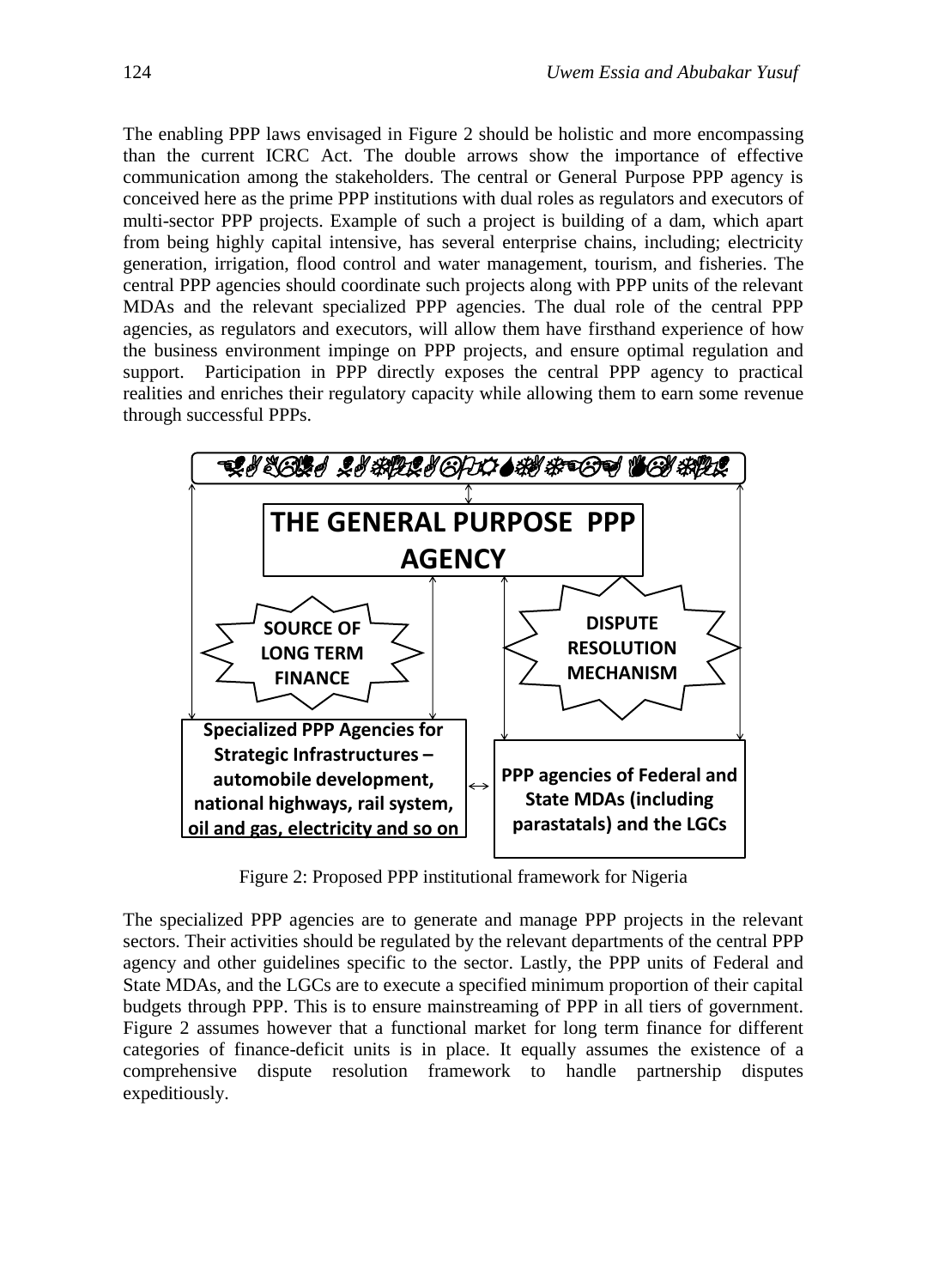The enabling PPP laws envisaged in Figure 2 should be holistic and more encompassing than the current ICRC Act. The double arrows show the importance of effective communication among the stakeholders. The central or General Purpose PPP agency is conceived here as the prime PPP institutions with dual roles as regulators and executors of multi-sector PPP projects. Example of such a project is building of a dam, which apart from being highly capital intensive, has several enterprise chains, including; electricity generation, irrigation, flood control and water management, tourism, and fisheries. The central PPP agencies should coordinate such projects along with PPP units of the relevant MDAs and the relevant specialized PPP agencies. The dual role of the central PPP agencies, as regulators and executors, will allow them have firsthand experience of how the business environment impinge on PPP projects, and ensure optimal regulation and support. Participation in PPP directly exposes the central PPP agency to practical realities and enriches their regulatory capacity while allowing them to earn some revenue through successful PPPs.



**Figure II: Proposed PPP Institutional Framework For Nigeria** Figure 2: Proposed PPP institutional framework for Nigeria

The specialized PPP agencies are to generate and manage PPP projects in the relevant sectors. Their activities should be regulated by the relevant departments of the central PPP agency and other guidelines specific to the sector. Lastly, the PPP units of Federal and State MDAs, and the LGCs are to execute a specified minimum proportion of their capital budgets through PPP. This is to ensure mainstreaming of PPP in all tiers of government. Figure 2 assumes however that a functional market for long term finance for different categories of finance-deficit units is in place. It equally assumes the existence of a comprehensive dispute resolution framework to handle partnership disputes expeditiously.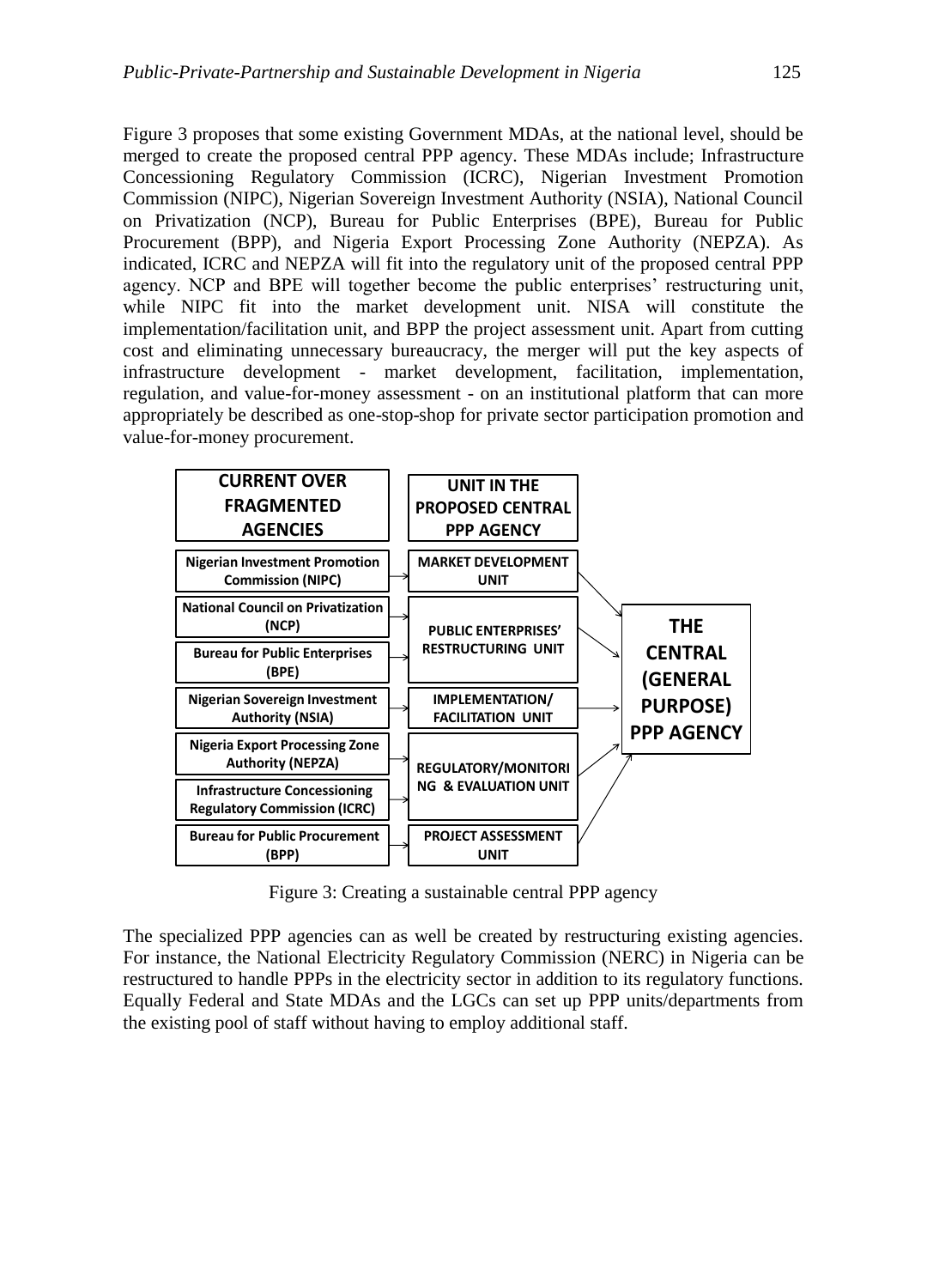Figure 3 proposes that some existing Government MDAs, at the national level, should be merged to create the proposed central PPP agency. These MDAs include; Infrastructure Concessioning Regulatory Commission (ICRC), Nigerian Investment Promotion Commission (NIPC), Nigerian Sovereign Investment Authority (NSIA), National Council on Privatization (NCP), Bureau for Public Enterprises (BPE), Bureau for Public Procurement (BPP), and Nigeria Export Processing Zone Authority (NEPZA). As indicated, ICRC and NEPZA will fit into the regulatory unit of the proposed central PPP agency. NCP and BPE will together become the public enterprises' restructuring unit, while NIPC fit into the market development unit. NISA will constitute the implementation/facilitation unit, and BPP the project assessment unit. Apart from cutting cost and eliminating unnecessary bureaucracy, the merger will put the key aspects of infrastructure development - market development, facilitation, implementation, regulation, and value-for-money assessment - on an institutional platform that can more appropriately be described as one-stop-shop for private sector participation promotion and value-for-money procurement.



**Figure III: Creating a Sustainable Central PPP Agency** Figure 3: Creating a sustainable central PPP agency

The specialized PPP agencies can as well be created by restructuring existing agencies. For instance, the National Electricity Regulatory Commission (NERC) in Nigeria can be restructured to handle PPPs in the electricity sector in addition to its regulatory functions. Equally Federal and State MDAs and the LGCs can set up PPP units/departments from the existing pool of staff without having to employ additional staff.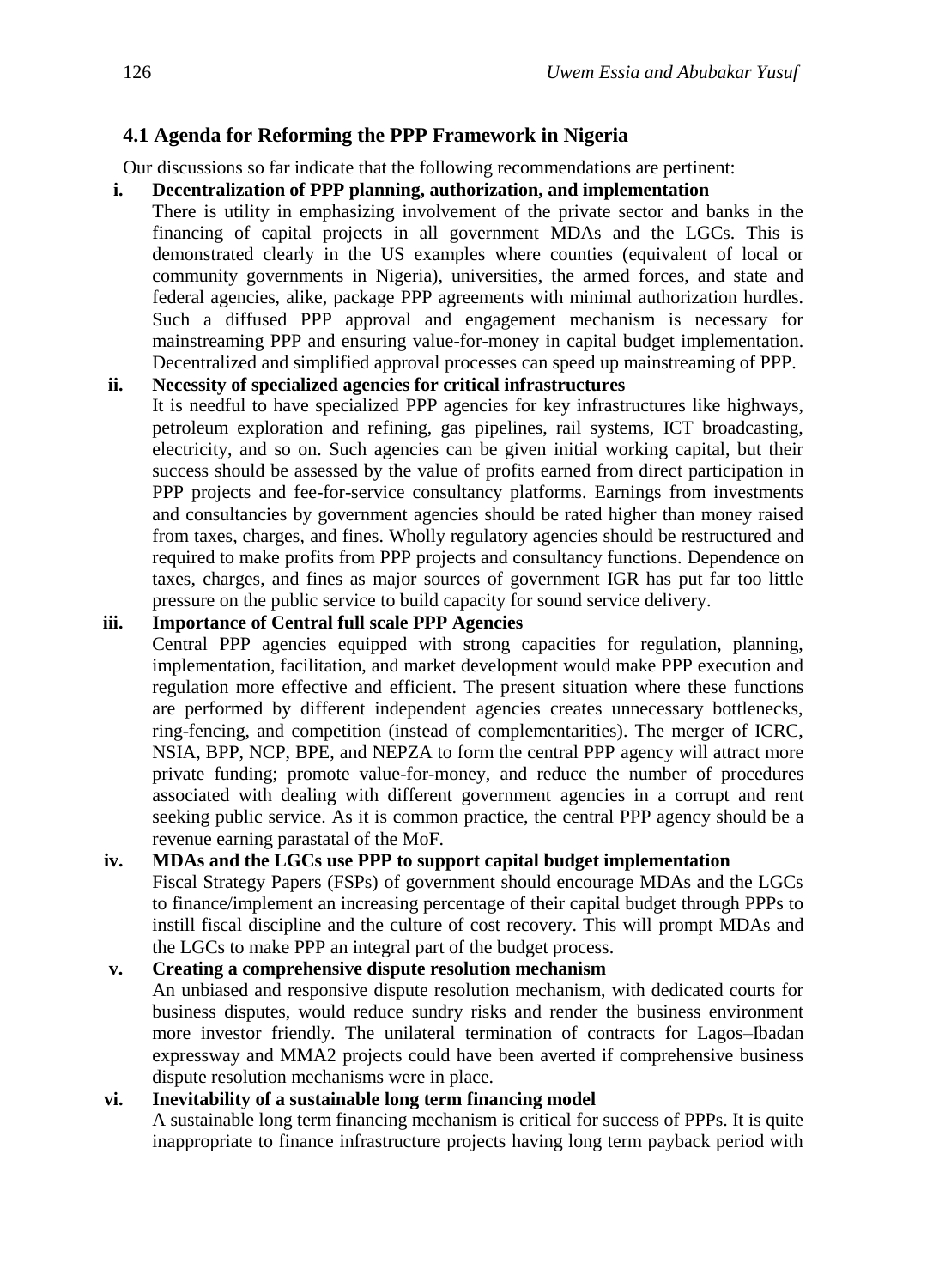## **4.1 Agenda for Reforming the PPP Framework in Nigeria**

Our discussions so far indicate that the following recommendations are pertinent:

#### **i. Decentralization of PPP planning, authorization, and implementation**

There is utility in emphasizing involvement of the private sector and banks in the financing of capital projects in all government MDAs and the LGCs. This is demonstrated clearly in the US examples where counties (equivalent of local or community governments in Nigeria), universities, the armed forces, and state and federal agencies, alike, package PPP agreements with minimal authorization hurdles. Such a diffused PPP approval and engagement mechanism is necessary for mainstreaming PPP and ensuring value-for-money in capital budget implementation. Decentralized and simplified approval processes can speed up mainstreaming of PPP.

#### **ii. Necessity of specialized agencies for critical infrastructures**

It is needful to have specialized PPP agencies for key infrastructures like highways, petroleum exploration and refining, gas pipelines, rail systems, ICT broadcasting, electricity, and so on. Such agencies can be given initial working capital, but their success should be assessed by the value of profits earned from direct participation in PPP projects and fee-for-service consultancy platforms. Earnings from investments and consultancies by government agencies should be rated higher than money raised from taxes, charges, and fines. Wholly regulatory agencies should be restructured and required to make profits from PPP projects and consultancy functions. Dependence on taxes, charges, and fines as major sources of government IGR has put far too little pressure on the public service to build capacity for sound service delivery.

#### **iii. Importance of Central full scale PPP Agencies**

Central PPP agencies equipped with strong capacities for regulation, planning, implementation, facilitation, and market development would make PPP execution and regulation more effective and efficient. The present situation where these functions are performed by different independent agencies creates unnecessary bottlenecks, ring-fencing, and competition (instead of complementarities). The merger of ICRC, NSIA, BPP, NCP, BPE, and NEPZA to form the central PPP agency will attract more private funding; promote value-for-money, and reduce the number of procedures associated with dealing with different government agencies in a corrupt and rent seeking public service. As it is common practice, the central PPP agency should be a revenue earning parastatal of the MoF.

#### **iv. MDAs and the LGCs use PPP to support capital budget implementation**

Fiscal Strategy Papers (FSPs) of government should encourage MDAs and the LGCs to finance/implement an increasing percentage of their capital budget through PPPs to instill fiscal discipline and the culture of cost recovery. This will prompt MDAs and the LGCs to make PPP an integral part of the budget process.

# **v. Creating a comprehensive dispute resolution mechanism**

An unbiased and responsive dispute resolution mechanism, with dedicated courts for business disputes, would reduce sundry risks and render the business environment more investor friendly. The unilateral termination of contracts for Lagos–Ibadan expressway and MMA2 projects could have been averted if comprehensive business dispute resolution mechanisms were in place.

#### **vi. Inevitability of a sustainable long term financing model**

A sustainable long term financing mechanism is critical for success of PPPs. It is quite inappropriate to finance infrastructure projects having long term payback period with